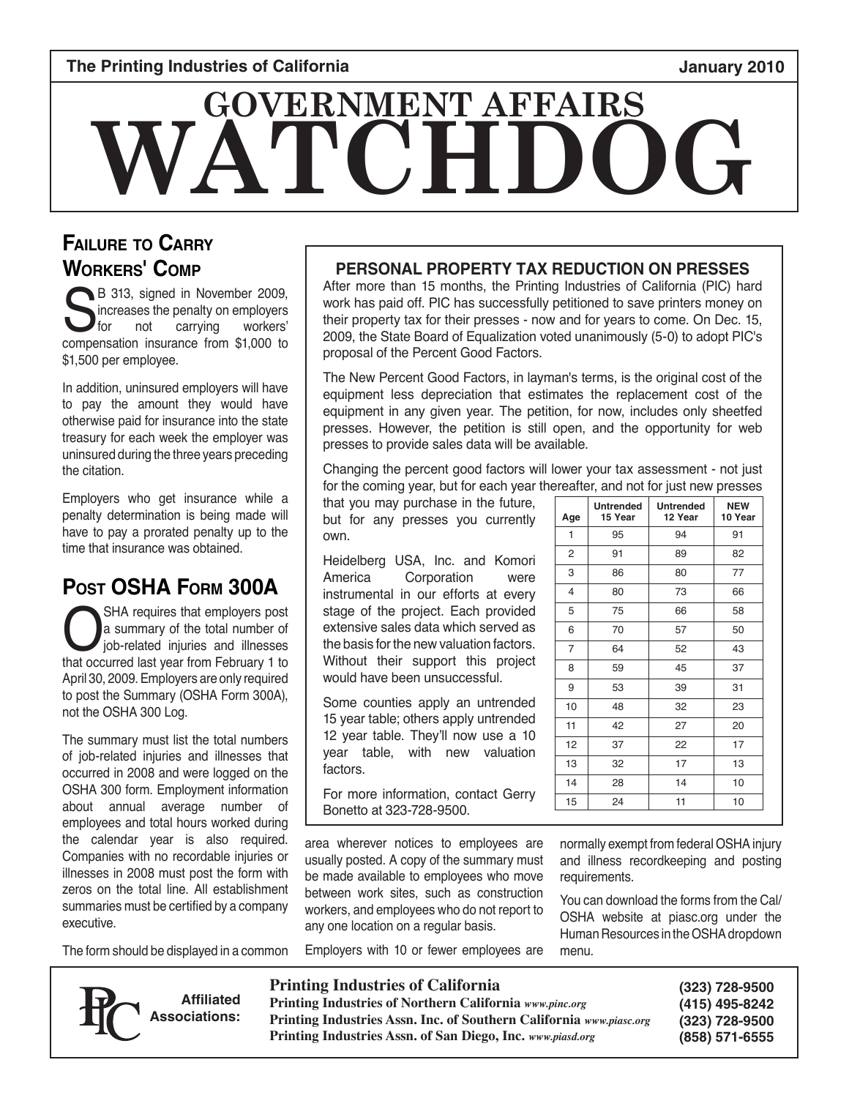#### **The Printing Industries of California January 2010**

# **WATCH GOVERNMENT AFFAIRS**

## **Failure to Carry Workers' Comp**

B 313, signed in November 2009,<br>increases the penalty on employers<br>for not carrying workers' increases the penalty on employers for not carrying workers' compensation insurance from \$1,000 to \$1,500 per employee.

In addition, uninsured employers will have to pay the amount they would have otherwise paid for insurance into the state treasury for each week the employer was uninsured during the three years preceding the citation.

Employers who get insurance while a penalty determination is being made will have to pay a prorated penalty up to the time that insurance was obtained.

# **Post OSHA Form 300A**

SHA requires that employers post<br>a summary of the total number of<br>job-related injuries and illnesses<br>that occurred last year from February 1 to a summary of the total number of job-related injuries and illnesses that occurred last year from February 1 to April 30, 2009. Employers are only required to post the Summary (OSHA Form 300A), not the OSHA 300 Log.

The summary must list the total numbers of job-related injuries and illnesses that occurred in 2008 and were logged on the OSHA 300 form. Employment information about annual average number of employees and total hours worked during the calendar year is also required. Companies with no recordable injuries or illnesses in 2008 must post the form with zeros on the total line. All establishment summaries must be certified by a company executive.

The form should be displayed in a common



**Affiliated Associations:**

#### **PERSONAL PROPERTY TAX REDUCTION ON PRESSES**

After more than 15 months, the Printing Industries of California (PIC) hard work has paid off. PIC has successfully petitioned to save printers money on their property tax for their presses - now and for years to come. On Dec. 15, 2009, the State Board of Equalization voted unanimously (5-0) to adopt PIC's proposal of the Percent Good Factors.

The New Percent Good Factors, in layman's terms, is the original cost of the equipment less depreciation that estimates the replacement cost of the equipment in any given year. The petition, for now, includes only sheetfed presses. However, the petition is still open, and the opportunity for web presses to provide sales data will be available.

Changing the percent good factors will lower your tax assessment - not just for the coming year, but for each year thereafter, and not for just new presses

that you may purchase in the future, but for any presses you currently own.

Heidelberg USA, Inc. and Komori America Corporation were instrumental in our efforts at every stage of the project. Each provided extensive sales data which served as the basis for the new valuation factors. Without their support this project would have been unsuccessful.

Some counties apply an untrended 15 year table; others apply untrended 12 year table. They'll now use a 10 year table, with new valuation factors.

For more information, contact Gerry Bonetto at 323-728-9500.

area wherever notices to employees are usually posted. A copy of the summary must be made available to employees who move between work sites, such as construction workers, and employees who do not report to any one location on a regular basis.

Employers with 10 or fewer employees are

#### **Age Untrended 15 Year Untrended 12 Year NEW 10 Year** 1 95 94 91 2 91 89 82 3 86 80 77 4 80 73 66 5 75 66 58 6 | 70 | 57 | 50 7 64 52 43 8 59 45 37 9 53 39 31 10 48 32 23 11 | 42 | 27 | 20 12 37 22 17 13 32 17 13 14 | 28 | 14 | 10 15 24 11 10

normally exempt from federal OSHA injury and illness recordkeeping and posting requirements.

You can download the forms from the Cal/ OSHA website at piasc.org under the Human Resources in the OSHA dropdown menu.

**Printing Industries of California**

**Printing Industries of Northern California** *www.pinc.org* **Printing Industries Assn. Inc. of Southern California** *www.piasc.org* **Printing Industries Assn. of San Diego, Inc.** *www.piasd.org*

| (323) 728-9500 |
|----------------|
| (415) 495-8242 |
| (323) 728-9500 |
| (858) 571-6555 |